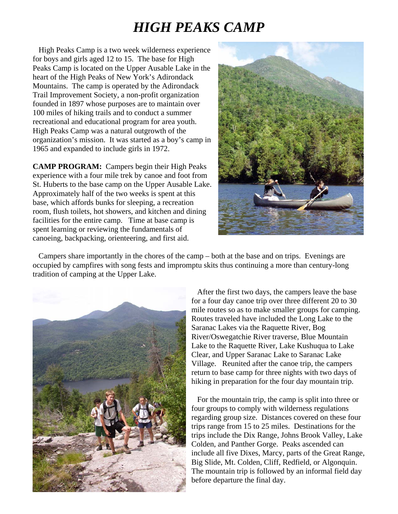## *HIGH PEAKS CAMP*

High Peaks Camp is a two week wilderness experience for boys and girls aged 12 to 15. The base for High Peaks Camp is located on the Upper Ausable Lake in the heart of the High Peaks of New York's Adirondack Mountains. The camp is operated by the Adirondack Trail Improvement Society, a non-profit organization founded in 1897 whose purposes are to maintain over 100 miles of hiking trails and to conduct a summer recreational and educational program for area youth. High Peaks Camp was a natural outgrowth of the organization's mission. It was started as a boy's camp in 1965 and expanded to include girls in 1972.

**CAMP PROGRAM:** Campers begin their High Peaks experience with a four mile trek by canoe and foot from St. Huberts to the base camp on the Upper Ausable Lake. Approximately half of the two weeks is spent at this base, which affords bunks for sleeping, a recreation room, flush toilets, hot showers, and kitchen and dining facilities for the entire camp. Time at base camp is spent learning or reviewing the fundamentals of canoeing, backpacking, orienteering, and first aid.



 Campers share importantly in the chores of the camp – both at the base and on trips. Evenings are occupied by campfires with song fests and impromptu skits thus continuing a more than century-long tradition of camping at the Upper Lake.



 After the first two days, the campers leave the base for a four day canoe trip over three different 20 to 30 mile routes so as to make smaller groups for camping. Routes traveled have included the Long Lake to the Saranac Lakes via the Raquette River, Bog River/Oswegatchie River traverse, Blue Mountain Lake to the Raquette River, Lake Kushuqua to Lake Clear, and Upper Saranac Lake to Saranac Lake Village. Reunited after the canoe trip, the campers return to base camp for three nights with two days of hiking in preparation for the four day mountain trip.

include all five Dixes, Marcy, parts of the Great Range, Big Slide, Mt. Colden, Cliff, Redfield, or Algonquin. The mountain trip is followed by an informal field day For the mountain trip, the camp is split into three or four groups to comply with wilderness regulations regarding group size. Distances covered on these four trips range from 15 to 25 miles. Destinations for the trips include the Dix Range, Johns Brook Valley, Lake Colden, and Panther Gorge. Peaks ascended can before departure the final day.